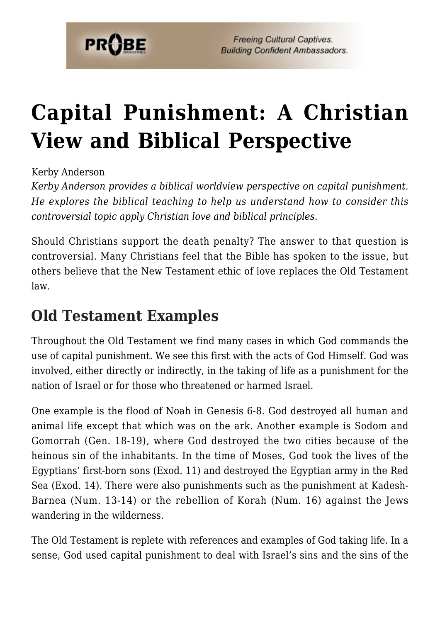

# **[Capital Punishment: A Christian](https://probe.org/capital-punishment/) [View and Biblical Perspective](https://probe.org/capital-punishment/)**

Kerby Anderson

*Kerby Anderson provides a biblical worldview perspective on capital punishment. He explores the biblical teaching to help us understand how to consider this controversial topic apply Christian love and biblical principles.*

Should Christians support the death penalty? The answer to that question is controversial. Many Christians feel that the Bible has spoken to the issue, but others believe that the New Testament ethic of love replaces the Old Testament law.

#### **Old Testament Examples**

Throughout the Old Testament we find many cases in which God commands the use of capital punishment. We see this first with the acts of God Himself. God was involved, either directly or indirectly, in the taking of life as a punishment for the nation of Israel or for those who threatened or harmed Israel.

One example is the flood of Noah in Genesis 6-8. God destroyed all human and animal life except that which was on the ark. Another example is Sodom and Gomorrah (Gen. 18-19), where God destroyed the two cities because of the heinous sin of the inhabitants. In the time of Moses, God took the lives of the Egyptians' first-born sons (Exod. 11) and destroyed the Egyptian army in the Red Sea (Exod. 14). There were also punishments such as the punishment at Kadesh-Barnea (Num. 13-14) or the rebellion of Korah (Num. 16) against the Jews wandering in the wilderness.

The Old Testament is replete with references and examples of God taking life. In a sense, God used capital punishment to deal with Israel's sins and the sins of the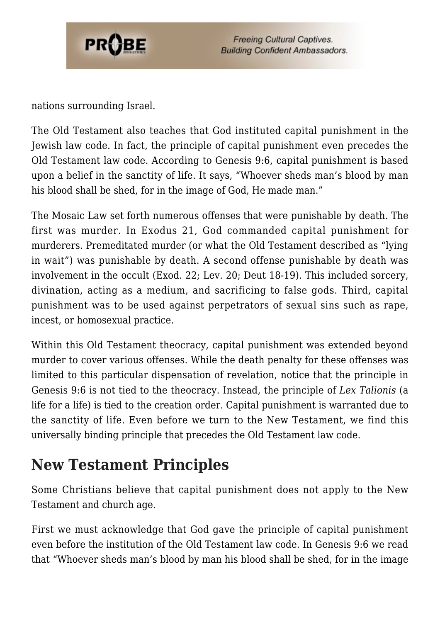

nations surrounding Israel.

The Old Testament also teaches that God instituted capital punishment in the Jewish law code. In fact, the principle of capital punishment even precedes the Old Testament law code. According to Genesis 9:6, capital punishment is based upon a belief in the sanctity of life. It says, "Whoever sheds man's blood by man his blood shall be shed, for in the image of God. He made man."

The Mosaic Law set forth numerous offenses that were punishable by death. The first was murder. In Exodus 21, God commanded capital punishment for murderers. Premeditated murder (or what the Old Testament described as "lying in wait") was punishable by death. A second offense punishable by death was involvement in the occult (Exod. 22; Lev. 20; Deut 18-19). This included sorcery, divination, acting as a medium, and sacrificing to false gods. Third, capital punishment was to be used against perpetrators of sexual sins such as rape, incest, or homosexual practice.

Within this Old Testament theocracy, capital punishment was extended beyond murder to cover various offenses. While the death penalty for these offenses was limited to this particular dispensation of revelation, notice that the principle in Genesis 9:6 is not tied to the theocracy. Instead, the principle of *Lex Talionis* (a life for a life) is tied to the creation order. Capital punishment is warranted due to the sanctity of life. Even before we turn to the New Testament, we find this universally binding principle that precedes the Old Testament law code.

#### **New Testament Principles**

Some Christians believe that capital punishment does not apply to the New Testament and church age.

First we must acknowledge that God gave the principle of capital punishment even before the institution of the Old Testament law code. In Genesis 9:6 we read that "Whoever sheds man's blood by man his blood shall be shed, for in the image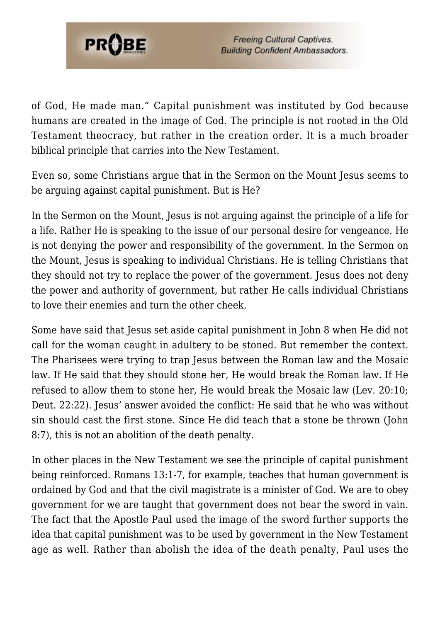

of God, He made man." Capital punishment was instituted by God because humans are created in the image of God. The principle is not rooted in the Old Testament theocracy, but rather in the creation order. It is a much broader biblical principle that carries into the New Testament.

Even so, some Christians argue that in the Sermon on the Mount Jesus seems to be arguing against capital punishment. But is He?

In the Sermon on the Mount, Jesus is not arguing against the principle of a life for a life. Rather He is speaking to the issue of our personal desire for vengeance. He is not denying the power and responsibility of the government. In the Sermon on the Mount, Jesus is speaking to individual Christians. He is telling Christians that they should not try to replace the power of the government. Jesus does not deny the power and authority of government, but rather He calls individual Christians to love their enemies and turn the other cheek.

Some have said that Jesus set aside capital punishment in John 8 when He did not call for the woman caught in adultery to be stoned. But remember the context. The Pharisees were trying to trap Jesus between the Roman law and the Mosaic law. If He said that they should stone her, He would break the Roman law. If He refused to allow them to stone her, He would break the Mosaic law (Lev. 20:10; Deut. 22:22). Jesus' answer avoided the conflict: He said that he who was without sin should cast the first stone. Since He did teach that a stone be thrown (John 8:7), this is not an abolition of the death penalty.

In other places in the New Testament we see the principle of capital punishment being reinforced. Romans 13:1-7, for example, teaches that human government is ordained by God and that the civil magistrate is a minister of God. We are to obey government for we are taught that government does not bear the sword in vain. The fact that the Apostle Paul used the image of the sword further supports the idea that capital punishment was to be used by government in the New Testament age as well. Rather than abolish the idea of the death penalty, Paul uses the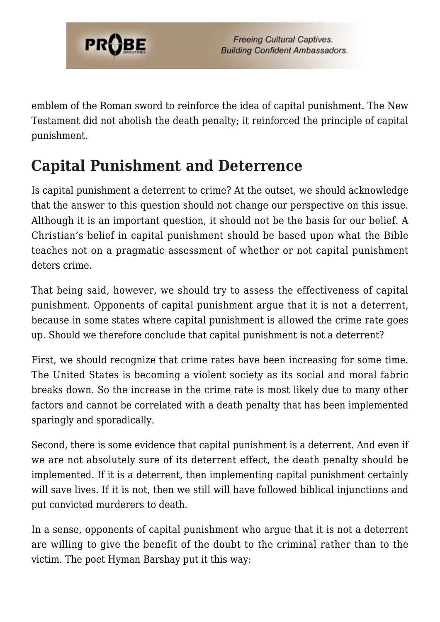

emblem of the Roman sword to reinforce the idea of capital punishment. The New Testament did not abolish the death penalty; it reinforced the principle of capital punishment.

## **Capital Punishment and Deterrence**

Is capital punishment a deterrent to crime? At the outset, we should acknowledge that the answer to this question should not change our perspective on this issue. Although it is an important question, it should not be the basis for our belief. A Christian's belief in capital punishment should be based upon what the Bible teaches not on a pragmatic assessment of whether or not capital punishment deters crime.

That being said, however, we should try to assess the effectiveness of capital punishment. Opponents of capital punishment argue that it is not a deterrent, because in some states where capital punishment is allowed the crime rate goes up. Should we therefore conclude that capital punishment is not a deterrent?

First, we should recognize that crime rates have been increasing for some time. The United States is becoming a violent society as its social and moral fabric breaks down. So the increase in the crime rate is most likely due to many other factors and cannot be correlated with a death penalty that has been implemented sparingly and sporadically.

Second, there is some evidence that capital punishment is a deterrent. And even if we are not absolutely sure of its deterrent effect, the death penalty should be implemented. If it is a deterrent, then implementing capital punishment certainly will save lives. If it is not, then we still will have followed biblical injunctions and put convicted murderers to death.

In a sense, opponents of capital punishment who argue that it is not a deterrent are willing to give the benefit of the doubt to the criminal rather than to the victim. The poet Hyman Barshay put it this way: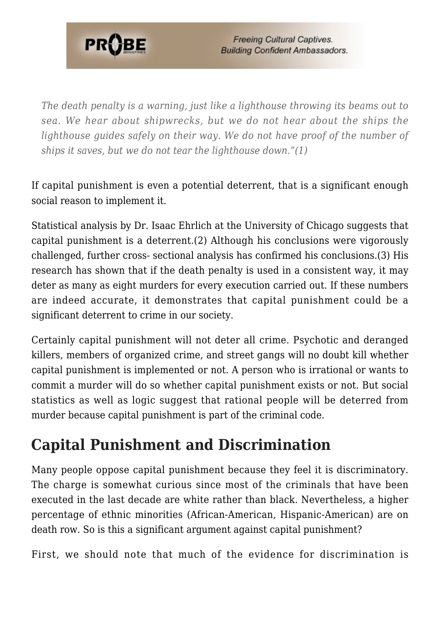

*The death penalty is a warning, just like a lighthouse throwing its beams out to sea. We hear about shipwrecks, but we do not hear about the ships the lighthouse guides safely on their way. We do not have proof of the number of ships it saves, but we do not tear the lighthouse down."(1)*

If capital punishment is even a potential deterrent, that is a significant enough social reason to implement it.

Statistical analysis by Dr. Isaac Ehrlich at the University of Chicago suggests that capital punishment is a deterrent.(2) Although his conclusions were vigorously challenged, further cross- sectional analysis has confirmed his conclusions.(3) His research has shown that if the death penalty is used in a consistent way, it may deter as many as eight murders for every execution carried out. If these numbers are indeed accurate, it demonstrates that capital punishment could be a significant deterrent to crime in our society.

Certainly capital punishment will not deter all crime. Psychotic and deranged killers, members of organized crime, and street gangs will no doubt kill whether capital punishment is implemented or not. A person who is irrational or wants to commit a murder will do so whether capital punishment exists or not. But social statistics as well as logic suggest that rational people will be deterred from murder because capital punishment is part of the criminal code.

#### **Capital Punishment and Discrimination**

Many people oppose capital punishment because they feel it is discriminatory. The charge is somewhat curious since most of the criminals that have been executed in the last decade are white rather than black. Nevertheless, a higher percentage of ethnic minorities (African-American, Hispanic-American) are on death row. So is this a significant argument against capital punishment?

First, we should note that much of the evidence for discrimination is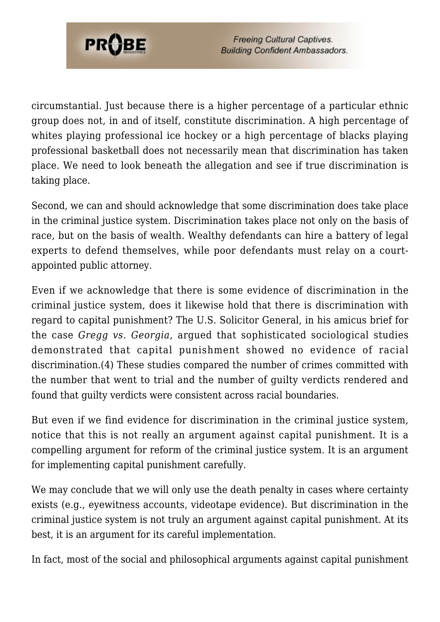

circumstantial. Just because there is a higher percentage of a particular ethnic group does not, in and of itself, constitute discrimination. A high percentage of whites playing professional ice hockey or a high percentage of blacks playing professional basketball does not necessarily mean that discrimination has taken place. We need to look beneath the allegation and see if true discrimination is taking place.

Second, we can and should acknowledge that some discrimination does take place in the criminal justice system. Discrimination takes place not only on the basis of race, but on the basis of wealth. Wealthy defendants can hire a battery of legal experts to defend themselves, while poor defendants must relay on a courtappointed public attorney.

Even if we acknowledge that there is some evidence of discrimination in the criminal justice system, does it likewise hold that there is discrimination with regard to capital punishment? The U.S. Solicitor General, in his amicus brief for the case *Gregg vs. Georgia*, argued that sophisticated sociological studies demonstrated that capital punishment showed no evidence of racial discrimination.(4) These studies compared the number of crimes committed with the number that went to trial and the number of guilty verdicts rendered and found that guilty verdicts were consistent across racial boundaries.

But even if we find evidence for discrimination in the criminal justice system, notice that this is not really an argument against capital punishment. It is a compelling argument for reform of the criminal justice system. It is an argument for implementing capital punishment carefully.

We may conclude that we will only use the death penalty in cases where certainty exists (e.g., eyewitness accounts, videotape evidence). But discrimination in the criminal justice system is not truly an argument against capital punishment. At its best, it is an argument for its careful implementation.

In fact, most of the social and philosophical arguments against capital punishment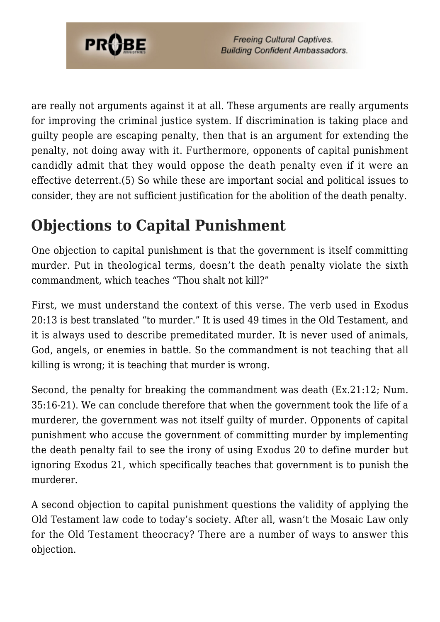

are really not arguments against it at all. These arguments are really arguments for improving the criminal justice system. If discrimination is taking place and guilty people are escaping penalty, then that is an argument for extending the penalty, not doing away with it. Furthermore, opponents of capital punishment candidly admit that they would oppose the death penalty even if it were an effective deterrent.(5) So while these are important social and political issues to consider, they are not sufficient justification for the abolition of the death penalty.

## **Objections to Capital Punishment**

One objection to capital punishment is that the government is itself committing murder. Put in theological terms, doesn't the death penalty violate the sixth commandment, which teaches "Thou shalt not kill?"

First, we must understand the context of this verse. The verb used in Exodus 20:13 is best translated "to murder." It is used 49 times in the Old Testament, and it is always used to describe premeditated murder. It is never used of animals, God, angels, or enemies in battle. So the commandment is not teaching that all killing is wrong; it is teaching that murder is wrong.

Second, the penalty for breaking the commandment was death (Ex.21:12; Num. 35:16-21). We can conclude therefore that when the government took the life of a murderer, the government was not itself guilty of murder. Opponents of capital punishment who accuse the government of committing murder by implementing the death penalty fail to see the irony of using Exodus 20 to define murder but ignoring Exodus 21, which specifically teaches that government is to punish the murderer.

A second objection to capital punishment questions the validity of applying the Old Testament law code to today's society. After all, wasn't the Mosaic Law only for the Old Testament theocracy? There are a number of ways to answer this objection.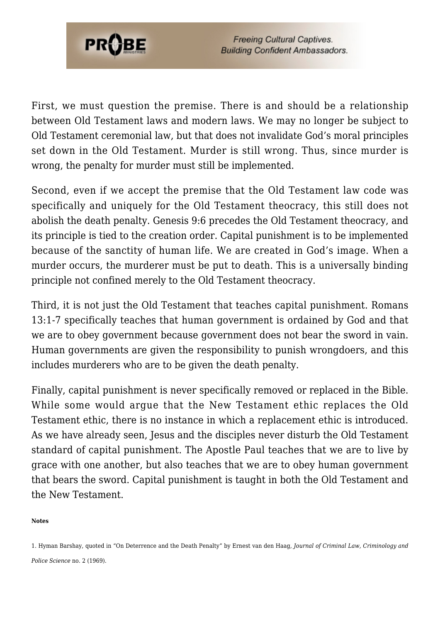

First, we must question the premise. There is and should be a relationship between Old Testament laws and modern laws. We may no longer be subject to Old Testament ceremonial law, but that does not invalidate God's moral principles set down in the Old Testament. Murder is still wrong. Thus, since murder is wrong, the penalty for murder must still be implemented.

Second, even if we accept the premise that the Old Testament law code was specifically and uniquely for the Old Testament theocracy, this still does not abolish the death penalty. Genesis 9:6 precedes the Old Testament theocracy, and its principle is tied to the creation order. Capital punishment is to be implemented because of the sanctity of human life. We are created in God's image. When a murder occurs, the murderer must be put to death. This is a universally binding principle not confined merely to the Old Testament theocracy.

Third, it is not just the Old Testament that teaches capital punishment. Romans 13:1-7 specifically teaches that human government is ordained by God and that we are to obey government because government does not bear the sword in vain. Human governments are given the responsibility to punish wrongdoers, and this includes murderers who are to be given the death penalty.

Finally, capital punishment is never specifically removed or replaced in the Bible. While some would argue that the New Testament ethic replaces the Old Testament ethic, there is no instance in which a replacement ethic is introduced. As we have already seen, Jesus and the disciples never disturb the Old Testament standard of capital punishment. The Apostle Paul teaches that we are to live by grace with one another, but also teaches that we are to obey human government that bears the sword. Capital punishment is taught in both the Old Testament and the New Testament.

#### **Notes**

<sup>1.</sup> Hyman Barshay, quoted in "On Deterrence and the Death Penalty" by Ernest van den Haag, *Journal of Criminal Law, Criminology and Police Science* no. 2 (1969).